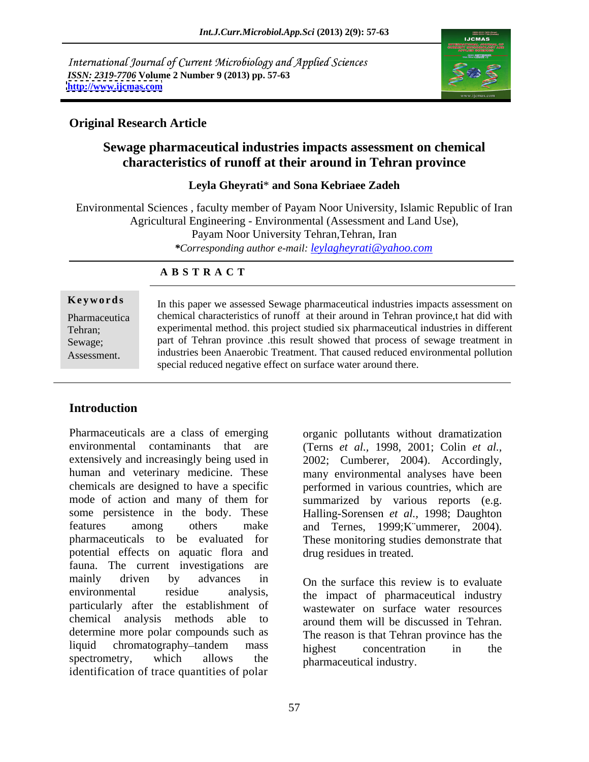International Journal of Current Microbiology and Applied Sciences *ISSN: 2319-7706* **Volume 2 Number 9 (2013) pp. 57-63 <http://www.ijcmas.com>**



## **Original Research Article**

# **Sewage pharmaceutical industries impacts assessment on chemical characteristics of runoff at their around in Tehran province**

#### **Leyla Gheyrati**\* **and Sona Kebriaee Zadeh**

Environmental Sciences , faculty member of Payam Noor University, Islamic Republic of Iran Agricultural Engineering - Environmental (Assessment and Land Use), Payam Noor University Tehran,Tehran, Iran

*\*Corresponding author e-mail: leylagheyrati@yahoo.com*

#### **A B S T R A C T**

**Keywords** In this paper we assessed Sewage pharmaceutical industries impacts assessment on Pharmaceutica chemical characteristics of runoff at their around in Tehran province, that did with Tehran; experimental method. this project studied six pharmaceutical industries in different Sewage; part of Tehran province this result showed that process of sewage treatment in Reywords<br>
In this paper we assessed Sewage pharmaceutical industries impacts assessment on<br>
chemical characteristics of runoff at their around in Tehran province, that did with<br>
experimental method. this project studied si industries been Anaerobic Treatment. That caused reduced environmental pollution special reduced negative effect on surface water around there.

# **Introduction**

Pharmaceuticals are a class of emerging organic pollutants without dramatization environmental contaminants that are (Terns *et al.,* 1998, 2001; Colin *et al.,* extensively and increasingly being used in 2002; Cumberer, 2004). Accordingly, human and veterinary medicine. These chemicals are designed to have a specific performed in various countries, which are mode of action and many of them for summarized by various reports (e.g. some persistence in the body. These Halling-Sorensen *et al.,* 1998; Daughton features among others make and Ternes, 1999;K¨ummerer, 2004). pharmaceuticals to be evaluated for These monitoring studies demonstrate that potential effects on aquatic flora and fauna. The current investigations are mainly driven by advances in On the surface this review is to evaluate environmental residue analysis, the impact of pharmaceutical industry particularly after the establishment of chemical analysis methods able to around them will be discussed in Tehran. determine more polar compounds such as liquid chromatography-tandem mass highest concentration in the spectrometry, which allows the  $\overline{h}$  pharmaceutical industry identification of trace quantities of polar

.

many environmental analyses have been drug residues in treated.

wastewater on surface water resources around them will be discussed in Tehran. The reason is that Tehran province has the highest concentration in the pharmaceutical industry.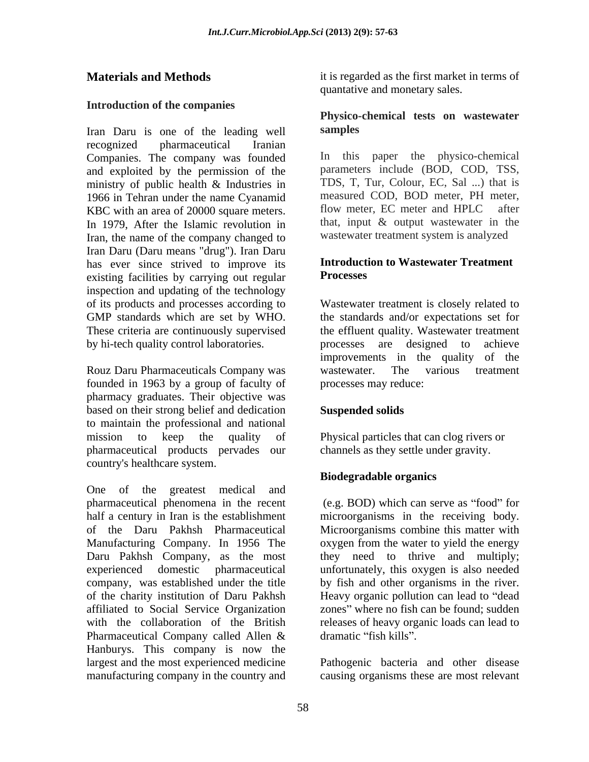### **Introduction of the companies**

Iran Daru is one of the leading well samples recognized pharmaceutical Iranian Companies. The company was founded and exploited by the permission of the ministry of public health & Industries in TDS, T, Tur, Colour, EC, Sal ...) that is<br>1966 in Tehran under the name Cyanamid measured COD, BOD meter, PH meter, 1966 in Tehran under the name Cyanamid measured COD, BOD meter, PH meter,<br>
KBC with an area of 20000 square meters flow meter, EC meter and HPLC after KBC with an area of 20000 square meters. In 1979, After the Islamic revolution in Iran, the name of the company changed to Iran Daru (Daru means "drug"). Iran Daru has ever since strived to improve its<br>existing facilities by carrying out reqular Processes existing facilities by carrying out regular inspection and updating of the technology of its products and processes according to GMP standards which are set by WHO. the standards and/or expectations set for These criteria are continuously supervised the effluent quality. Wastewater treatment by hi-tech quality control laboratories. processes are designed to achieve

Rouz Daru Pharmaceuticals Company was wastewater. The various treatment founded in 1963 by a group of faculty of pharmacy graduates. Their objective was based on their strong belief and dedication **Suspended solids** to maintain the professional and national mission to keep the quality of Physical particles that can clog rivers or pharmaceutical products pervades our country's healthcare system.

One of the greatest medical and pharmaceutical phenomena in the recent half a century in Iran is the establishment microorganisms in the receiving body. of the Daru Pakhsh Pharmaceutical Microorganisms combine this matter with Manufacturing Company. In 1956 The Daru Pakhsh Company, as the most they need to thrive and multiply; experienced domestic pharmaceutical unfortunately, this oxygen is also needed company, was established under the title by fish and other organisms in the river. of the charity institution of Daru Pakhsh Heavy organic pollution can lead to "dead affiliated to Social Service Organization zones" where no fish can be found; sudden with the collaboration of the British releases of heavy organic loads can lead to Pharmaceutical Company called Allen & dramatic "fish kills". Hanburys. This company is now the largest and the most experienced medicine Pathogenic bacteria and other disease

**Materials and Methods** it is regarded as the first market in terms of quantative and monetary sales.

### **Physico-chemical tests on wastewater samples**

In this paper the physico-chemical parameters include (BOD, COD, TSS, TDS, T, Tur, Colour, EC, Sal ...) that is measured COD, BOD meter, PH meter,<br>flow meter, EC meter and HPLC after that, input & output wastewater in the wastewater treatment system is analyzed

## **Introduction to Wastewater Treatment Processes**

Wastewater treatment is closely related to improvements in the quality of the wastewater. The various treatment processes may reduce:

# **Suspended solids**

channels as they settle under gravity.

### **Biodegradable organics**

 $(e.g. BOD)$  which can serve as "food" for oxygen from the water to yield the energy dramatic "fish kills".

manufacturing company in the country and causing organisms these are most relevant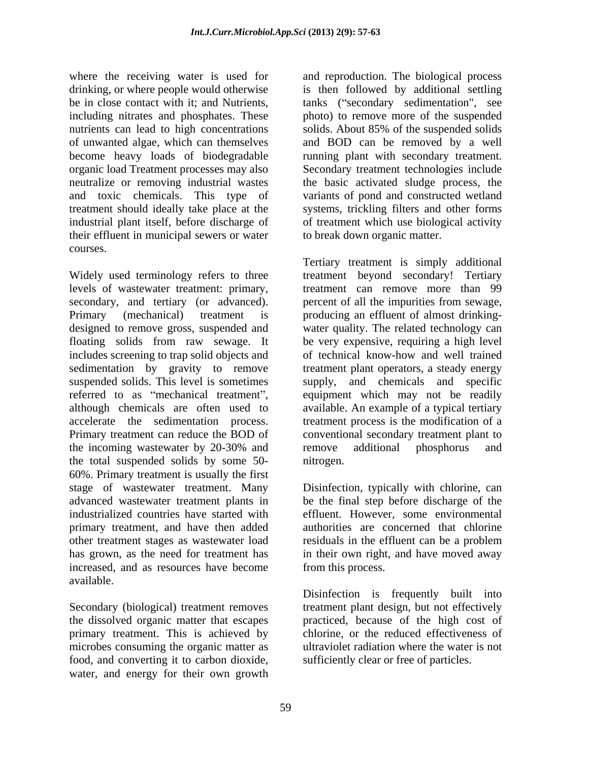where the receiving water is used for and reproduction. The biological process drinking, or where people would otherwise is then followed by additional settling be in close contact with it; and Nutrients, including nitrates and phosphates. These photo) to remove more of the suspended nutrients can lead to high concentrations solids. About 85% of the suspended solids of unwanted algae, which can themselves and BOD can be removed by a well become heavy loads of biodegradable running plant with secondary treatment. organic load Treatment processes may also Secondary treatment technologies include neutralize or removing industrial wastes the basic activated sludge process, the and toxic chemicals. This type of variants of pond and constructed wetland treatment should ideally take place at the industrial plant itself, before discharge of of treatment which use biological activity their effluent in municipal sewers or water courses.

Widely used terminology refers to three treatment beyond secondary! Tertiary levels of wastewater treatment: primary, treatment can remove more than 99 secondary, and tertiary (or advanced). percent of all the impurities from sewage, Primary (mechanical) treatment is producing an effluent of almost drinking designed to remove gross, suspended and water quality. The related technology can floating solids from raw sewage. It be very expensive, requiring a high level includes screening to trap solid objects and of technical know-how and well trained sedimentation by gravity to remove treatment plant operators, a steady energy suspended solids. This level is sometimes supply, and chemicals and specific referred to as "mechanical treatment", equipment which may not be readily although chemicals are often used to available. An example of a typical tertiary accelerate the sedimentation process. treatment process is the modification of a Primary treatment can reduce the BOD of conventional secondary treatment plant to the incoming wastewater by 20-30% and remove additional phosphorus and the total suspended solids by some 50- 60%. Primary treatment is usually the first stage of wastewater treatment. Many Disinfection, typically with chlorine, can advanced wastewater treatment plants in be the final step before discharge of the industrialized countries have started with effluent. However, some environmental primary treatment, and have then added other treatment stages as wastewater load has grown, as the need for treatment has in their own right, and have moved away increased, and as resources have become available.

Secondary (biological) treatment removes treatment plant design, but not effectively the dissolved organic matter that escapes primary treatment. This is achieved by microbes consuming the organic matter as ultraviolet radiation where the water is not food, and converting it to carbon dioxide, water, and energy for their own growth

tanks ("secondary sedimentation", see photo) to remove more of the suspended solids. About 85% of the suspended solids systems, trickling filters and other forms to break down organic matter.

Tertiary treatment is simply additional remove additional phosphorus and nitrogen.

authorities are concerned that chlorine residuals in the effluent can be a problem from this process.

Disinfection is frequently built into practiced, because of the high cost of chlorine, or the reduced effectiveness of sufficiently clear or free of particles.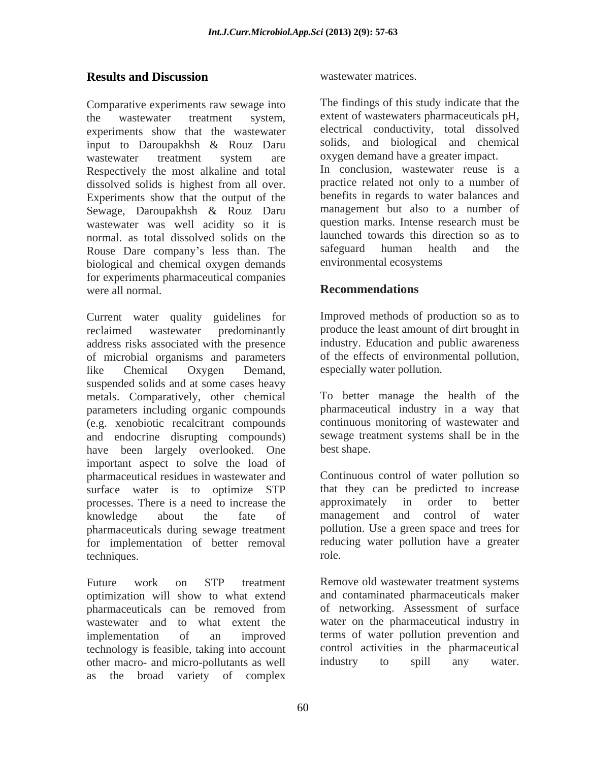## **Results and Discussion** *Wastewater matrices.*

Comparative experiments raw sewage into the wastewater treatment system, extent of wastewaters pharmaceuticals pH,<br>experiments show that the wastewater electrical conductivity, total dissolved experiments show that the wastewater input to Daroupakhsh & Rouz Daru wastewater treatment system are oxygen-demand-have-a-greater-impact. Respectively the most alkaline and total dissolved solids is highest from all over. Experiments show that the output of the Sewage, Daroupakhsh & Rouz Daru wastewater was well acidity so it is normal. as total dissolved solids on the launched towards this direction so as to<br>Rouse Dare company's less than The safeguard human health and the Rouse Dare company's less than. The biological and chemical oxygen demands for experiments pharmaceutical companies<br>Were all normal<br>Recommendations were all normal. **Recommendations Recommendations** 

Current water quality guidelines for reclaimed wastewater predominantly produce the least amount of dirt brought in address risks associated with the presence of microbial organisms and parameters like Chemical Oxygen Demand, especially water pollution. suspended solids and at some cases heavy metals. Comparatively, other chemical parameters including organic compounds (e.g. xenobiotic recalcitrant compounds and endocrine disrupting compounds) have been largely overlooked. One best shape. important aspect to solve the load of pharmaceutical residues in wastewater and surface water is to optimize STP that they can be predicted to increase processes. There is a need to increase the approximately in order to better knowledge about the fate of pharmaceuticals during sewage treatment for implementation of better removal reducementation reducements. techniques. The role of the role of the role of the role of the role of the role of the role of the role of the role of the role of the role of the role of the role of the role of the role of the role of the role of the ro

Future work on STP treatment Remove old wastewater treatment systems optimization will show to what extend and contaminated pharmaceuticals maker pharmaceuticals can be removed from of networking. Assessment of surface wastewater and to what extent the implementation of an improved terms of water pollution prevention and technology is feasible, taking into account other macro- and micro-pollutants as well industry to spill any water. as the broad variety of complex

wastewater matrices.

The findings of this study indicate that the extent of wastewaters pharmaceuticals pH, electrical conductivity, total dissolved solids, and biological and chemical oxygen demand have a greater impact. In conclusion, wastewater reuse is a practice related not only to a number of benefits in regards to water balances and management but also to a number of question marks. Intense research must be launched towards this direction so as to safeguard human health and the environmental ecosystems

# **Recommendations**

Improved methods of production so as to industry. Education and public awareness of the effects of environmental pollution, especially water pollution.

To better manage the health of the pharmaceutical industry in a way that continuous monitoring of wastewater and sewage treatment systems shall be in the best shape.

Continuous control of water pollution so approximately in order to better management and control of water pollution. Use a green space and trees for reducing water pollution have a greater role.

of networking. Assessment of surface water on the pharmaceutical industry in control activities in the pharmaceutical industry to spill any water.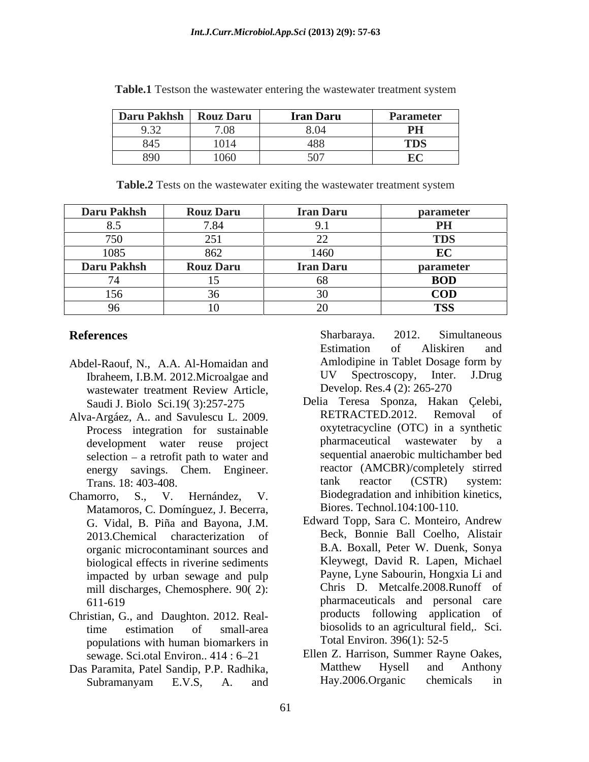| Daru Pakhsh   Rouz Daru                   |                    | iran Daru       | Parameter                     |
|-------------------------------------------|--------------------|-----------------|-------------------------------|
| $\sim$ $\sim$<br>$\overline{\phantom{a}}$ | 700<br>1.00        |                 | PH                            |
| பு                                        | 4041<br>$101\pi$   | $\sqrt{2}$<br>— | <b>TDS</b>                    |
| <b>v</b>                                  | 10C<br><b>LUOU</b> |                 | $\mathbf{E}$ $\alpha$<br>rv - |

**Table.1** Testson the wastewater entering the wastewater treatment system

**Table.2** Tests on the wastewater exiting the wastewater treatment system

| <b>Daru Pakhsh</b>   | <b>Rouz Daru</b>      | <b>Iran Daru</b>                   | parameter         |
|----------------------|-----------------------|------------------------------------|-------------------|
|                      |                       |                                    | PH                |
| $H - \Omega$<br>1.50 | $\bigcap$ = 1<br>⊥ ت⊿ | $\sim$<br>$\overline{\phantom{a}}$ | <b>TDS</b>        |
| 1085                 | 862                   | 1460                               | $E\Omega$<br>LU - |
| Daru Pakhsh          | <b>Rouz Daru</b>      | <b>Iran Daru</b>                   | parameter         |
| $\sim$ $\sim$        |                       | ,,,,                               | <b>BOD</b>        |
| 156                  |                       |                                    | <b>COD</b>        |
| $\sim$               | $\sim$                | $\sim$ $\sim$<br>$\lambda$         | <b>TSS</b>        |

- Abdel-Raouf, N., A.A. Al-Homaidan and Amlodipine in Tablet Dosage form by<br>Ibraheem I B M 2012 Microalgae and UV Spectroscopy, Inter. J.Drug Ibraheem, I.B.M. 2012.Microalgae and wastewater treatment Review Article, Develop. Res.4 (2): 265-270
- Process integration for sustainable oxytetracycline (OTC) in a s<br>development water reuse project pharmaceutical wastewater selection  $-$  a retrofit path to water and
- Matamoros, C. Domínguez, J. Becerra, G. Vidal, B. Piña and Bayona, J.M. 2013.Chemical characterization of organic microcontaminant sources and biological effects in riverine sediments impacted by urban sewage and pulp mill discharges, Chemosphere. 90( 2):
- Christian, G., and Daughton. 2012. Realpopulations with human biomarkers in
- Das Paramita, Patel Sandip, P.P. Radhika, Matthew Hysell and Anthony<br>Subramanyam E.V.S. A and Hay.2006.Organic chemicals in Subramanyam E.V.S, A. and Hay.2006.Organic chemicals in

**References** Sharbaraya. 2012. Simultaneous Sharbaraya. 2012. Simultaneous Estimation of Aliskiren and Amlodipine in Tablet Dosage form by UV Spectroscopy, Inter. J.Drug Develop. Res.4 (2): 265-270

- Saudi J. Biolo Sci.19( 3):257-275 Delia Teresa Sponza, Hakan Çelebi, Alva-Argáez, A.. and Savulescu L. 2009. development water reuse project pharmaceutical wastewater by a energy savings. Chem. Engineer. reactor (AMCBR)/completely stirred Trans. 18: 403-408. Trans. 18: 403-408. Chamorro, S., V. Hernández, V. Biodegradation and inhibition kinetics, RETRACTED.2012. oxytetracycline (OTC) in a synthetic pharmaceutical wastewater by a sequential anaerobic multichamber bed tank reactor (CSTR) system: Biores. Technol.104:100-110.
	- 611-619 pharmaceuticals and personal care time estimation of small-area biosolids to an agricultural field,. Sci. Edward Topp, Sara C. Monteiro, Andrew Beck, Bonnie Ball Coelho, Alistair B.A. Boxall, Peter W. Duenk, Sonya Kleywegt, David R. Lapen, Michael Payne, Lyne Sabourin, Hongxia Li and Chris D. Metcalfe.2008.Runoff of products following application of Total Environ. 396(1): 52-5
	- sewage. Sci.otal Environ.. 414 : 6–21 Ellen Z. Harrison, Summer Rayne Oakes,<br>Ellen Z. Harrison, Summer Rayne Oakes,<br>Matthew Hysell and Anthony Ellen Z. Harrison, Summer Rayne Oakes, Matthew Hysell and Anthony Hay.2006.Organic chemicals in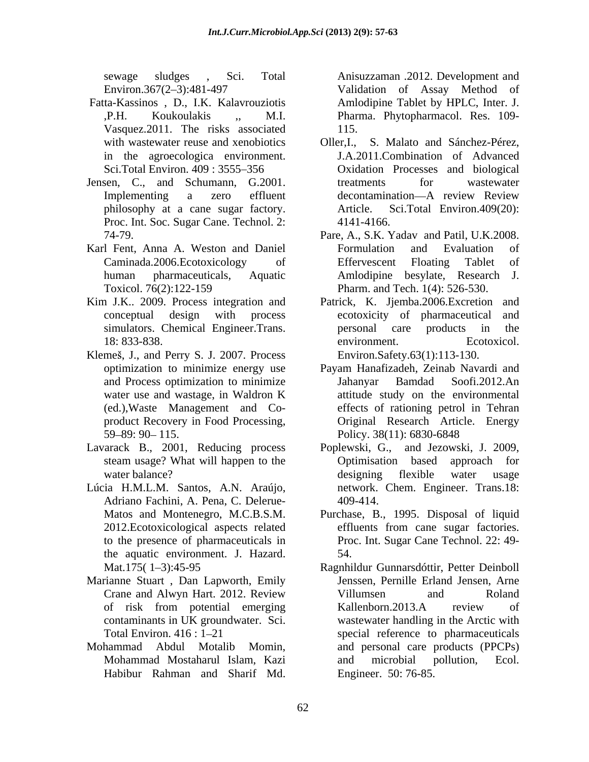sewage sludges , Sci. Total

- Fatta-Kassinos , D., I.K. Kalavrouziotis Vasquez.2011. The risks associated with wastewater reuse and xenobiotics Oller, I., in the agroecologica environment.<br>Sci.Total Environ. 409 : 3555–356
- Jensen, C., and Schumann, G.2001. philosophy at a cane sugar factory. Proc. Int. Soc. Sugar Cane. Technol. 2: 4141-4166.
- Karl Fent, Anna A. Weston and Daniel
- 
- Klemeš, J., and Perry S. J. 2007. Process 59–89: 90– 115. Policy. 38(11): 6830-6848
- Lavarack B., 2001, Reducing process
- Adriano Fachini, A. Pena, C. Delerue the aquatic environment. J. Hazard.
- Marianne Stuart , Dan Lapworth, Emily
- Mohammad Abdul Motalib Momin,

Environ.367(2 3):481-497 Validation of Assay Method of ,P.H. Koukoulakis ,, M.I. Pharma. Phytopharmacol. Res. 109- Amlodipine Tablet by HPLC, Inter. J. 115.

- Sci.Total Environ. 409 : 3555 356 Oxidation Processes and biological Implementing a zero effluent decontamination—A review Review S. Malato and Sánchez-Pérez, J.A.2011.Combination of Advanced treatments for wastewater decontamination—A review Review Sci.Total Environ.409(20): 4141-4166.
- 74-79. Pare, A., S.K. Yadav and Patil, U.K.2008. Caminada.2006.Ecotoxicology of human pharmaceuticals, Aquatic Amlodipine besylate, Research J. Toxicol. 76(2):122-159 Pharm. and Tech. 1(4): 526-530. Formulation and Evaluation of Effervescent Floating Tablet of
- Kim J.K.. 2009. Process integration and Patrick, K. Jjemba.2006.Excretion and conceptual design with process ecotoxicity of pharmaceutical and simulators. Chemical Engineer.Trans. The personal care products in the 18: 833-838. environment. Ecotoxicol. personal care products environment. Ecotoxicol. Environ.Safety.63(1):113-130.
	- optimization to minimize energy use Payam Hanafizadeh, Zeinab Navardi and and Process optimization to minimize **State Landard** Soofi.2012.An water use and wastage, in Waldron K attitude study on the environmental (ed.),Waste Management and Co- effects of rationing petrol in Tehran product Recovery in Food Processing, Original Research Article. Energy Jahanyar Bamdad Soofi.2012.An attitude study on the environmental Policy. 38(11): 6830-6848
- steam usage? What will happen to the **Optimisation** based approach for water balance? designing flexible water usage Lúcia H.M.L.M. Santos, A.N. Araújo, network. Chem. Engineer. Trans.18: Poplewski, G., and Jezowski, J. 2009, Optimisation based approach for designing flexible water usage 409-414.
	- Matos and Montenegro, M.C.B.S.M. Purchase, B., 1995. Disposal of liquid 2012. Ecotoxicological aspects related effluents from cane sugar factories. to the presence of pharmaceuticals in Proc. Int. Sugar Cane Technol. 22: 49 effluents from cane sugar factories. 54.
- Mat.175(1-3):45-95 Ragnhildur Gunnarsdóttir, Petter Deinboll Crane and Alwyn Hart. 2012. Review of risk from potential emerging Kallenborn.2013.A review of contaminants in UK groundwater. Sci. wastewater handling in the Arctic with Total Environ. 416 : 1–21 special reference to pharmaceuticals Mohammad Mostaharul Islam, Kazi swape sludges . Sci. Total Anisuzzaman 2.012. Development and Nature and Sharif Anisuzaman 2.012. Development and Sharif Marine The Rakman and Sharif Marine The Rahman and Sharif Marine The Rahman Sharif Marine The Rahman Jenssen, Pernille Erland Jensen, Arne Villumsen and Roland Kallenborn.2013.A review of and personal care products (PPCPs) and microbial pollution, Ecol. Engineer. 50: 76-85.